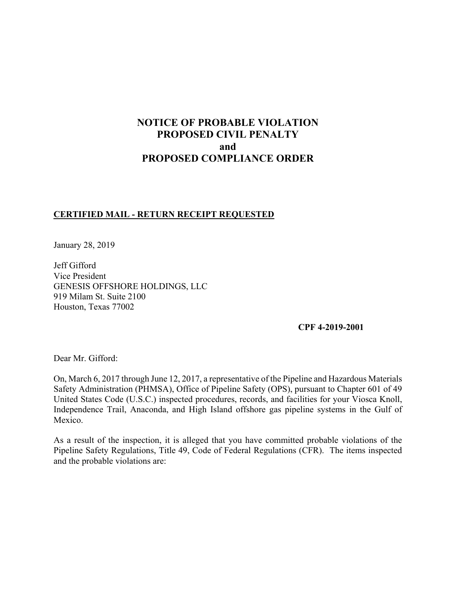# **NOTICE OF PROBABLE VIOLATION PROPOSED CIVIL PENALTY and PROPOSED COMPLIANCE ORDER**

## **CERTIFIED MAIL - RETURN RECEIPT REQUESTED**

January 28, 2019

Jeff Gifford Vice President GENESIS OFFSHORE HOLDINGS, LLC 919 Milam St. Suite 2100 Houston, Texas 77002

**CPF 4-2019-2001** 

Dear Mr. Gifford:

On, March 6, 2017 through June 12, 2017, a representative of the Pipeline and Hazardous Materials Safety Administration (PHMSA), Office of Pipeline Safety (OPS), pursuant to Chapter 601 of 49 United States Code (U.S.C.) inspected procedures, records, and facilities for your Viosca Knoll, Independence Trail, Anaconda, and High Island offshore gas pipeline systems in the Gulf of Mexico.

 Pipeline Safety Regulations, Title 49, Code of Federal Regulations (CFR). The items inspected As a result of the inspection, it is alleged that you have committed probable violations of the and the probable violations are: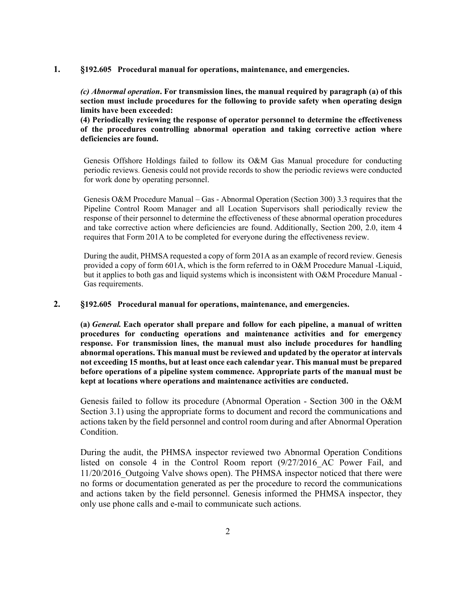#### **1. §192.605 Procedural manual for operations, maintenance, and emergencies.**

*(c) Abnormal operation***. For transmission lines, the manual required by paragraph (a) of this section must include procedures for the following to provide safety when operating design limits have been exceeded:**

**(4) Periodically reviewing the response of operator personnel to determine the effectiveness of the procedures controlling abnormal operation and taking corrective action where deficiencies are found.**

Genesis Offshore Holdings failed to follow its O&M Gas Manual procedure for conducting periodic reviews. Genesis could not provide records to show the periodic reviews were conducted for work done by operating personnel.

Genesis O&M Procedure Manual – Gas - Abnormal Operation (Section 300) 3.3 requires that the Pipeline Control Room Manager and all Location Supervisors shall periodically review the response of their personnel to determine the effectiveness of these abnormal operation procedures and take corrective action where deficiencies are found. Additionally, Section 200, 2.0, item 4 requires that Form 201A to be completed for everyone during the effectiveness review.

 During the audit, PHMSA requested a copy of form 201A as an example of record review. Genesis provided a copy of form 601A, which is the form referred to in O&M Procedure Manual -Liquid, but it applies to both gas and liquid systems which is inconsistent with O&M Procedure Manual - Gas requirements.

#### **2. §192.605 Procedural manual for operations, maintenance, and emergencies.**

 **(a)** *General.* **Each operator shall prepare and follow for each pipeline, a manual of written procedures for conducting operations and maintenance activities and for emergency response. For transmission lines, the manual must also include procedures for handling abnormal operations. This manual must be reviewed and updated by the operator at intervals not exceeding 15 months, but at least once each calendar year. This manual must be prepared before operations of a pipeline system commence. Appropriate parts of the manual must be kept at locations where operations and maintenance activities are conducted.**

Genesis failed to follow its procedure (Abnormal Operation - Section 300 in the O&M Section 3.1) using the appropriate forms to document and record the communications and actions taken by the field personnel and control room during and after Abnormal Operation Condition.

During the audit, the PHMSA inspector reviewed two Abnormal Operation Conditions listed on console 4 in the Control Room report (9/27/2016 AC Power Fail, and 11/20/2016\_Outgoing Valve shows open). The PHMSA inspector noticed that there were no forms or documentation generated as per the procedure to record the communications and actions taken by the field personnel. Genesis informed the PHMSA inspector, they only use phone calls and e-mail to communicate such actions.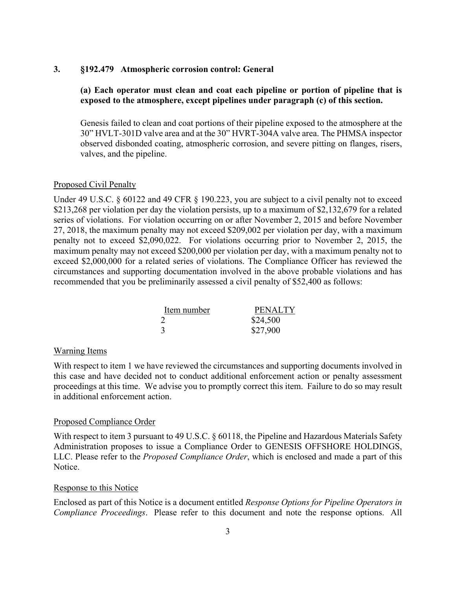#### **3. §192.479 Atmospheric corrosion control: General**

### **(a) Each operator must clean and coat each pipeline or portion of pipeline that is exposed to the atmosphere, except pipelines under paragraph (c) of this section.**

 Genesis failed to clean and coat portions of their pipeline exposed to the atmosphere at the 30" HVLT-301D valve area and at the 30" HVRT-304A valve area. The PHMSA inspector observed disbonded coating, atmospheric corrosion, and severe pitting on flanges, risers, valves, and the pipeline.

#### Proposed Civil Penalty

Under 49 U.S.C. § 60122 and 49 CFR § 190.223, you are subject to a civil penalty not to exceed \$213,268 per violation per day the violation persists, up to a maximum of \$2,132,679 for a related series of violations. For violation occurring on or after November 2, 2015 and before November 27, 2018, the maximum penalty may not exceed \$209,002 per violation per day, with a maximum penalty not to exceed \$2,090,022. For violations occurring prior to November 2, 2015, the maximum penalty may not exceed \$200,000 per violation per day, with a maximum penalty not to exceed \$2,000,000 for a related series of violations. The Compliance Officer has reviewed the circumstances and supporting documentation involved in the above probable violations and has recommended that you be preliminarily assessed a civil penalty of \$52,400 as follows:

| Item number | <b>PENALTY</b> |
|-------------|----------------|
|             | \$24,500       |
|             | \$27,900       |

#### Warning Items

 proceedings at this time. We advise you to promptly correct this item. Failure to do so may result With respect to item 1 we have reviewed the circumstances and supporting documents involved in this case and have decided not to conduct additional enforcement action or penalty assessment in additional enforcement action.

#### Proposed Compliance Order

With respect to item 3 pursuant to 49 U.S.C. § 60118, the Pipeline and Hazardous Materials Safety Administration proposes to issue a Compliance Order to GENESIS OFFSHORE HOLDINGS, LLC. Please refer to the *Proposed Compliance Order*, which is enclosed and made a part of this Notice.

#### Response to this Notice

 *Compliance Proceedings*. Please refer to this document and note the response options. All Enclosed as part of this Notice is a document entitled *Response Options for Pipeline Operators in*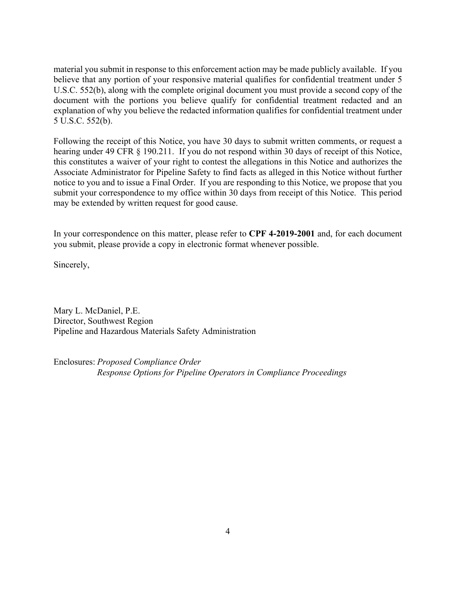material you submit in response to this enforcement action may be made publicly available. If you believe that any portion of your responsive material qualifies for confidential treatment under 5 U.S.C. 552(b), along with the complete original document you must provide a second copy of the document with the portions you believe qualify for confidential treatment redacted and an explanation of why you believe the redacted information qualifies for confidential treatment under 5 U.S.C. 552(b).

 submit your correspondence to my office within 30 days from receipt of this Notice. This period Following the receipt of this Notice, you have 30 days to submit written comments, or request a hearing under 49 CFR § 190.211. If you do not respond within 30 days of receipt of this Notice, this constitutes a waiver of your right to contest the allegations in this Notice and authorizes the Associate Administrator for Pipeline Safety to find facts as alleged in this Notice without further notice to you and to issue a Final Order. If you are responding to this Notice, we propose that you may be extended by written request for good cause.

In your correspondence on this matter, please refer to **CPF 4-2019-2001** and, for each document you submit, please provide a copy in electronic format whenever possible.

Sincerely,

Mary L. McDaniel, P.E. Director, Southwest Region Pipeline and Hazardous Materials Safety Administration

Enclosures: *Proposed Compliance Order Response Options for Pipeline Operators in Compliance Proceedings*